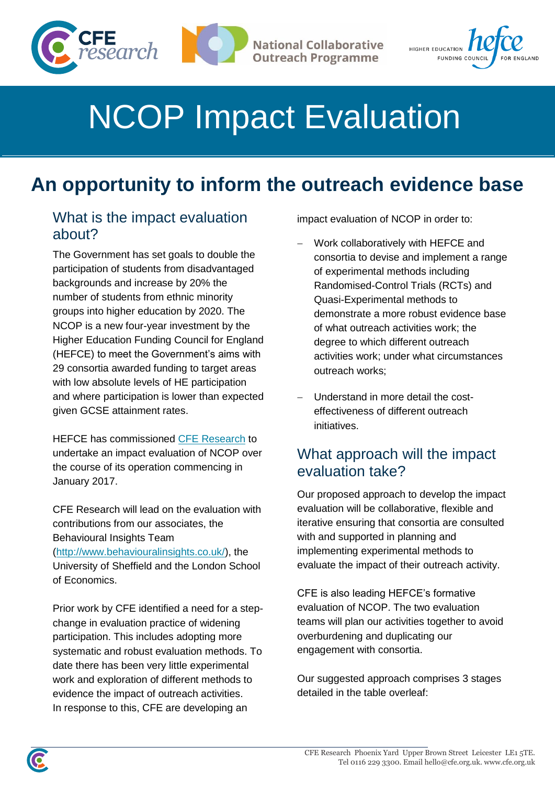



# NCOP Impact Evaluation

# **An opportunity to inform the outreach evidence base**

#### What is the impact evaluation about?

The Government has set goals to double the participation of students from disadvantaged backgrounds and increase by 20% the number of students from ethnic minority groups into higher education by 2020. The NCOP is a new four-year investment by the Higher Education Funding Council for England (HEFCE) to meet the Government's aims with 29 consortia awarded funding to target areas with low absolute levels of HE participation and where participation is lower than expected given GCSE attainment rates.

HEFCE has commissioned [CFE Research](http://cfe.org.uk/) to undertake an impact evaluation of NCOP over the course of its operation commencing in January 2017.

CFE Research will lead on the evaluation with contributions from our associates, the Behavioural Insights Team

[\(http://www.behaviouralinsights.co.uk/\)](http://www.behaviouralinsights.co.uk/), the University of Sheffield and the London School of Economics.

Prior work by CFE identified a need for a stepchange in evaluation practice of widening participation. This includes adopting more systematic and robust evaluation methods. To date there has been very little experimental work and exploration of different methods to evidence the impact of outreach activities. In response to this, CFE are developing an

impact evaluation of NCOP in order to:

- Work collaboratively with HEFCE and consortia to devise and implement a range of experimental methods including Randomised-Control Trials (RCTs) and Quasi-Experimental methods to demonstrate a more robust evidence base of what outreach activities work; the degree to which different outreach activities work; under what circumstances outreach works;
- Understand in more detail the costeffectiveness of different outreach initiatives.

#### What approach will the impact evaluation take?

Our proposed approach to develop the impact evaluation will be collaborative, flexible and iterative ensuring that consortia are consulted with and supported in planning and implementing experimental methods to evaluate the impact of their outreach activity.

CFE is also leading HEFCE's formative evaluation of NCOP. The two evaluation teams will plan our activities together to avoid overburdening and duplicating our engagement with consortia.

Our suggested approach comprises 3 stages detailed in the table overleaf: